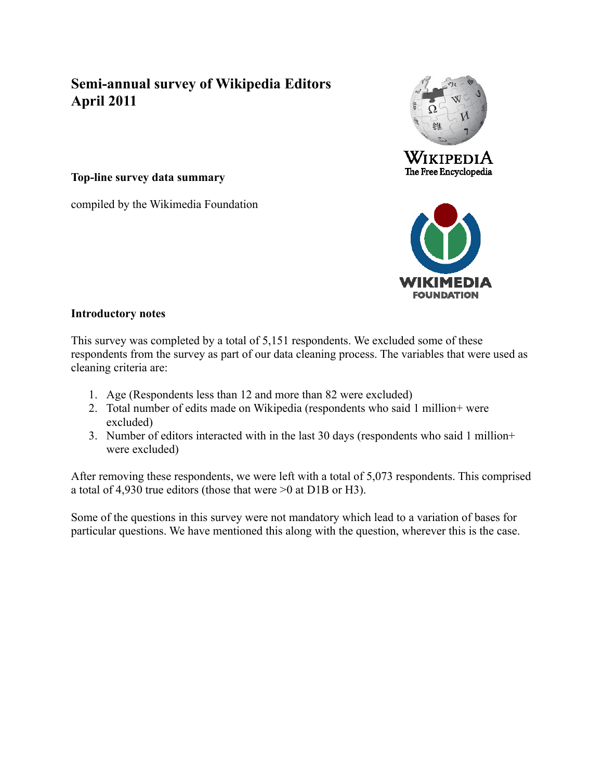# **Semi-annual survey of Wikipedia Editors April 2011**

**Top-line survey data summary**

compiled by the Wikimedia Foundation





#### **Introductory notes**

This survey was completed by a total of 5,151 respondents. We excluded some of these respondents from the survey as part of our data cleaning process. The variables that were used as cleaning criteria are:

- 1. Age (Respondents less than 12 and more than 82 were excluded)
- 2. Total number of edits made on Wikipedia (respondents who said 1 million+ were excluded)
- 3. Number of editors interacted with in the last 30 days (respondents who said 1 million+ were excluded)

After removing these respondents, we were left with a total of 5,073 respondents. This comprised a total of 4,930 true editors (those that were >0 at D1B or H3).

Some of the questions in this survey were not mandatory which lead to a variation of bases for particular questions. We have mentioned this along with the question, wherever this is the case.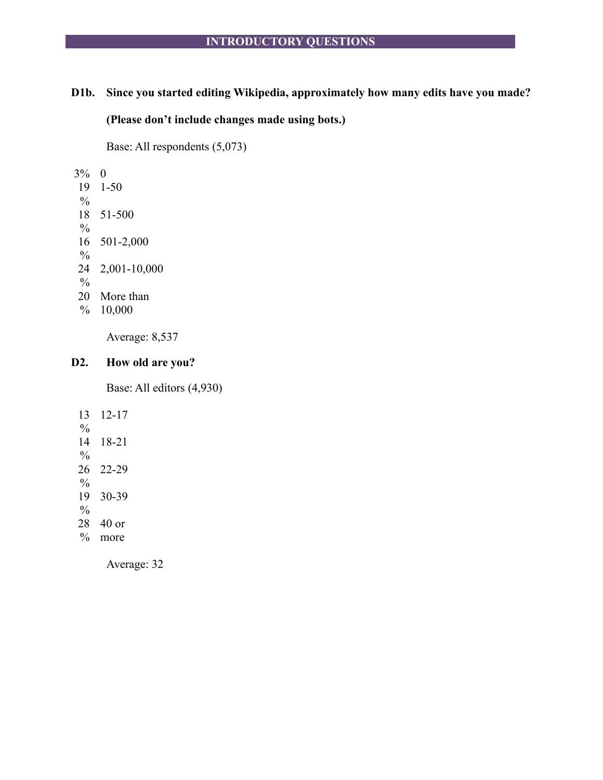# **D1b. Since you started editing Wikipedia, approximately how many edits have you made?**

**(Please don't include changes made using bots.)**

Base: All respondents (5,073)

3% 0 19 1-50

- $\frac{0}{0}$ 18 51-500  $\frac{0}{0}$ 16 501-2,000
- $\frac{0}{0}$ 24 2,001-10,000
- $\frac{0}{0}$
- 20 More than
- % 10,000

Average: 8,537

# **D2. How old are you?**

Base: All editors (4,930)

13  $\frac{0}{0}$ 12-17 14  $\frac{0}{0}$ 18-21 26 22-29  $\frac{0}{0}$ 19 30-39  $\frac{0}{0}$ 28 % more 40 or

Average: 32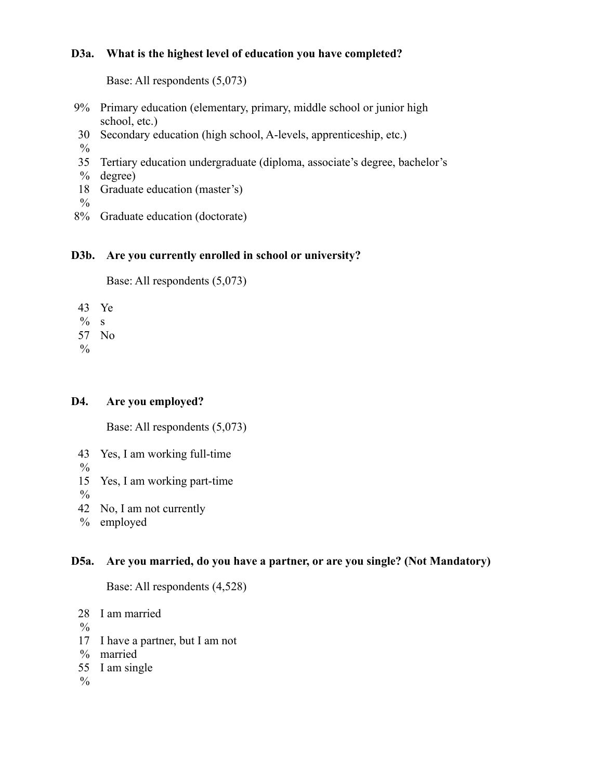# **D3a. What is the highest level of education you have completed?**

Base: All respondents (5,073)

- 9% Primary education (elementary, primary, middle school or junior high school, etc.)
- 30 Secondary education (high school, A-levels, apprenticeship, etc.)
- $\frac{0}{0}$
- 35 Tertiary education undergraduate (diploma, associate's degree, bachelor's
- $\%$ degree)
- 18 Graduate education (master's)
- $\%$
- 8% Graduate education (doctorate)

# **D3b. Are you currently enrolled in school or university?**

Base: All respondents (5,073)

43 Ye

 $% s$ 

57 No

 $\frac{0}{0}$ 

# **D4. Are you employed?**

Base: All respondents (5,073)

- 43 Yes, I am working full-time
- $\frac{0}{0}$
- 15 Yes, I am working part-time
- $\frac{0}{0}$
- 42 No, I am not currently
- $\%$ employed

# **D5a. Are you married, do you have a partner, or are you single? (Not Mandatory)**

Base: All respondents (4,528)

- 28 I am married
- $\%$
- 17 I have a partner, but I am not
- % married
- 55 I am single

 $\frac{0}{0}$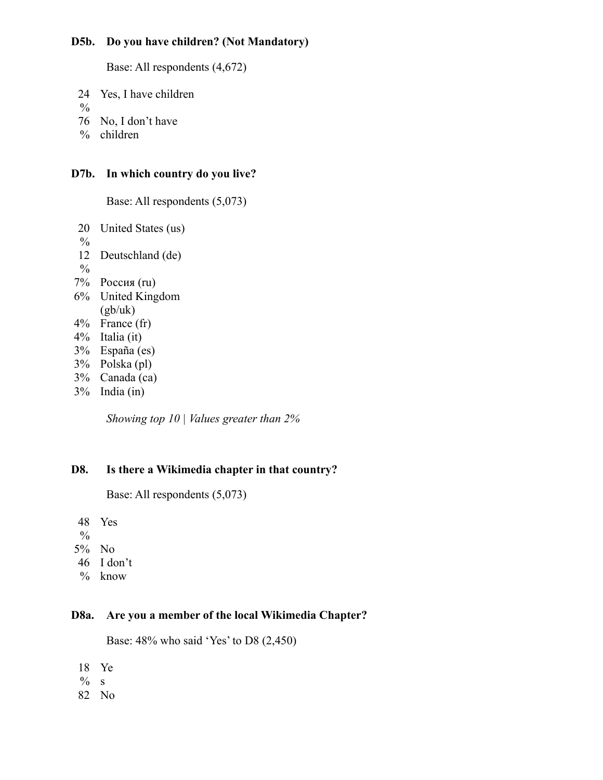# **D5b. Do you have children? (Not Mandatory)**

Base: All respondents (4,672)

- 24 Yes, I have children
- $\frac{0}{0}$
- 76 No, I don't have
- % children

## **D7b. In which country do you live?**

Base: All respondents (5,073)

- 20 United States (us)  $\frac{0}{0}$ 12 Deutschland (de)  $\frac{0}{0}$ 7% Россия (ru) 6% United Kingdom  $(gb/uk)$ 4% France (fr) 4% Italia (it)
- 3% España (es)
- 3% Polska (pl)
- 3% Canada (ca)
- 3% India (in)

*Showing top 10 | Values greater than 2%*

# **D8. Is there a Wikimedia chapter in that country?**

```
Base: All respondents (5,073)
```
48 Yes

- $\frac{0}{0}$
- 5% No
- 46 I don't
- % know

# **D8a. Are you a member of the local Wikimedia Chapter?**

Base: 48% who said 'Yes' to D8 (2,450)

- 18 Ye
- $\%$ s
- 82 No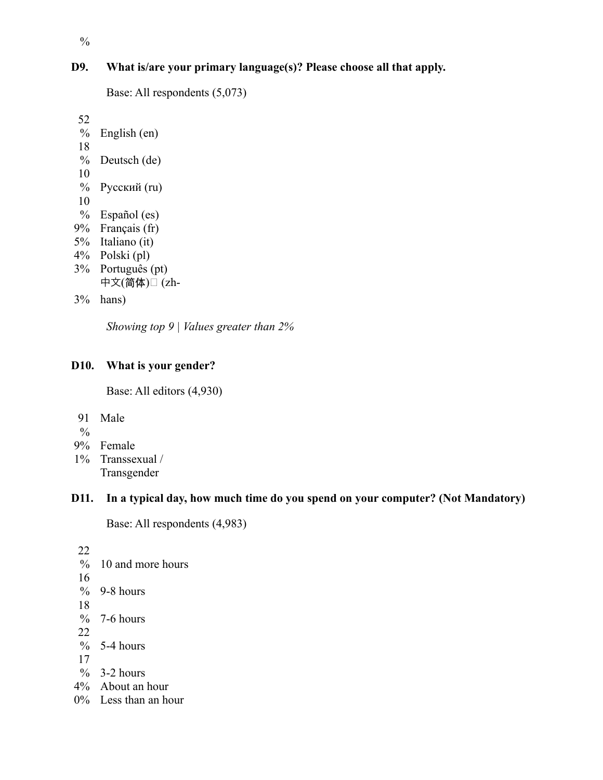# **D9. What is/are your primary language(s)? Please choose all that apply.**

```
Base: All respondents (5,073)
```

```
52
 % English (en)
18
 % Deutsch (de)
10
 % Русский (ru)
10
 % Español (es)
9% Français (fr)
5% Italiano (it)
4% Polski (pl)
3% Português (pt)
    中文(简体)□ (zh-
```

```
3%
hans)
```
*Showing top 9 | Values greater than 2%*

# **D10. What is your gender?**

Base: All editors (4,930)

- 91 Male
- $\frac{0}{0}$
- 9% Female
- 1% Transsexual / Transgender

# **D11. In a typical day, how much time do you spend on your computer? (Not Mandatory)**

```
Base: All respondents (4,983)
```

```
22
% 10 and more hours
16
% 9-8 hours
18
% 7-6 hours
22
\% 5-4 hours
17
\% 3-2 hours
4% About an hour
0% Less than an hour
```
 $\frac{0}{0}$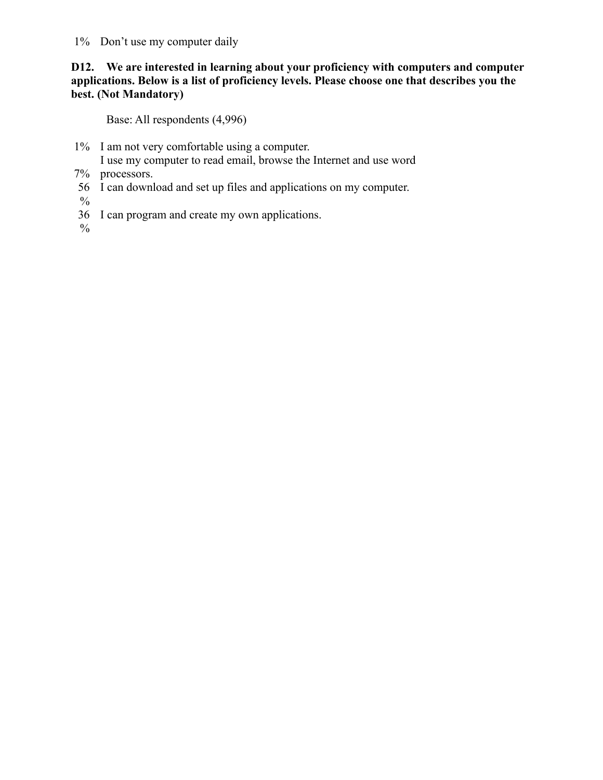1% Don't use my computer daily

# **D12. We are interested in learning about your proficiency with computers and computer applications. Below is a list of proficiency levels. Please choose one that describes you the best. (Not Mandatory)**

Base: All respondents (4,996)

- 1% I am not very comfortable using a computer.
- I use my computer to read email, browse the Internet and use word
- 7% processors.
- 56 I can download and set up files and applications on my computer.
- $\%$
- 36 I can program and create my own applications.
- $\frac{0}{0}$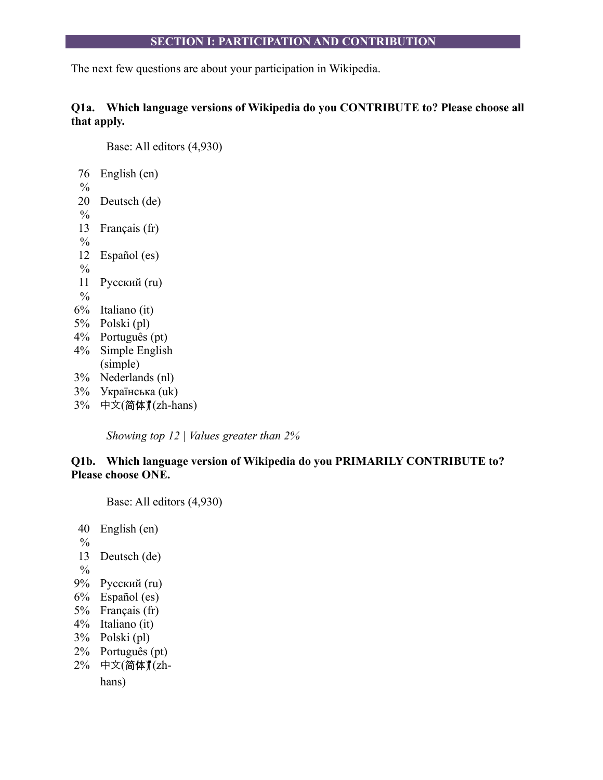## **SECTION I: PARTICIPATION AND CONTRIBUTION**

The next few questions are about your participation in Wikipedia.

# **Q1a. Which language versions of Wikipedia do you CONTRIBUTE to? Please choose all that apply.**

Base: All editors (4,930)

| 76            | English (en)    |
|---------------|-----------------|
| $\frac{0}{0}$ |                 |
| 20            | Deutsch (de)    |
| $\frac{0}{0}$ |                 |
| 13            | Français (fr)   |
| $\frac{0}{0}$ |                 |
| 12            | Español (es)    |
| $\frac{0}{0}$ |                 |
| 11            | Русский (ru)    |
| $\frac{0}{0}$ |                 |
| $6\%$         | Italiano (it)   |
| 5%            | Polski (pl)     |
| $4\%$         | Português (pt)  |
| $4\%$         | Simple English  |
|               | (simple)        |
| 3%            | Nederlands (nl) |
| 3%            | Українська (uk) |
|               |                 |

 $3\%$  中文(简体) (zh-hans)

*Showing top 12 | Values greater than 2%*

# **Q1b. Which language version of Wikipedia do you PRIMARILY CONTRIBUTE to? Please choose ONE.**

Base: All editors (4,930)

- 40 English (en)
- $\frac{0}{0}$
- 13 Deutsch (de)
- $\frac{0}{0}$
- 9% Русский (ru)
- 6% Español (es)
- 5% Français (fr)
- 4% Italiano (it)
- 3% Polski (pl)
- 2% Português (pt)
- 2% 中文(简体) (zh-

hans)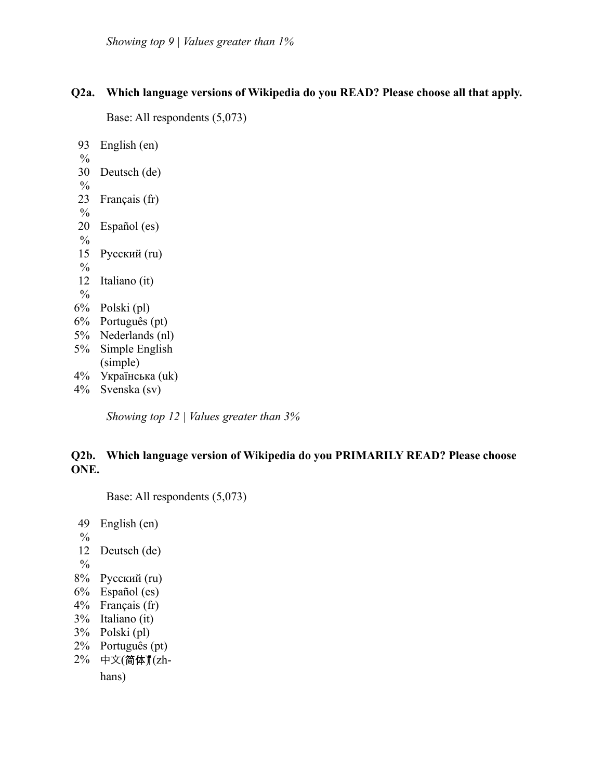### **Q2a. Which language versions of Wikipedia do you READ? Please choose all that apply.**

```
Base: All respondents (5,073)
```

```
93
 \frac{0}{0}English (en)
 30
Deutsch (de)
 \frac{0}{0}23
 \frac{0}{0}Français (fr)
 20
Español (es)
 \frac{0}{0}15
Русский (ru)
 \frac{0}{0}12
Italiano (it)
 \frac{0}{0}6% Polski (pl)
6% Português (pt)
5% Nederlands (nl)
5% Simple English
      (simple)
4% Українська (uk)
4% Svenska (sv)
```
*Showing top 12 | Values greater than 3%*

# **Q2b. Which language version of Wikipedia do you PRIMARILY READ? Please choose ONE.**

Base: All respondents (5,073)

```
49
 \frac{0}{0}English (en)
 12
Deutsch (de)
 \frac{0}{0}8% Русский (ru)
6% Español (es)
4% Français (fr)
3% Italiano (it)
3% Polski (pl)
2% Português (pt)
2% 中文(简体) (zh-
     hans)
```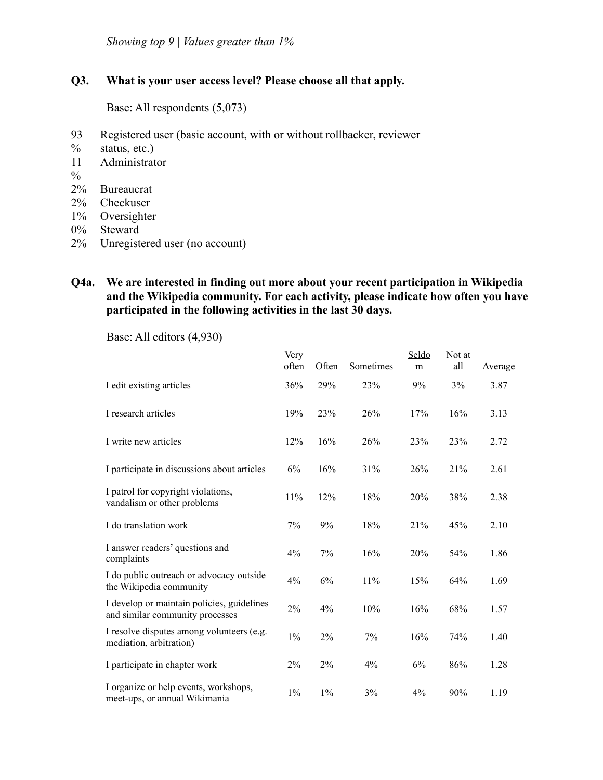*Showing top 9 | Values greater than 1%*

# **Q3. What is your user access level? Please choose all that apply.**

Base: All respondents (5,073)

- 93 Registered user (basic account, with or without rollbacker, reviewer
- $\%$ status, etc.)
- 11 Administrator
- $\frac{0}{0}$
- 2% Bureaucrat
- 2% Checkuser
- 1% Oversighter
- 0% Steward
- 2% Unregistered user (no account)

# **Q4a. We are interested in finding out more about your recent participation in Wikipedia and the Wikipedia community. For each activity, please indicate how often you have participated in the following activities in the last 30 days.**

|                                                                               | Very<br>often | Often | Sometimes | Seldo<br>$\underline{m}$ | Not at<br>all | <u>Average</u> |
|-------------------------------------------------------------------------------|---------------|-------|-----------|--------------------------|---------------|----------------|
| I edit existing articles                                                      | 36%           | 29%   | 23%       | 9%                       | 3%            | 3.87           |
| I research articles                                                           | 19%           | 23%   | 26%       | 17%                      | 16%           | 3.13           |
| I write new articles                                                          | 12%           | 16%   | 26%       | 23%                      | 23%           | 2.72           |
| I participate in discussions about articles                                   | 6%            | 16%   | 31%       | 26%                      | 21%           | 2.61           |
| I patrol for copyright violations,<br>vandalism or other problems             | 11%           | 12%   | 18%       | 20%                      | 38%           | 2.38           |
| I do translation work                                                         | 7%            | 9%    | 18%       | 21%                      | 45%           | 2.10           |
| I answer readers' questions and<br>complaints                                 | 4%            | 7%    | 16%       | 20%                      | 54%           | 1.86           |
| I do public outreach or advocacy outside<br>the Wikipedia community           | $4\%$         | 6%    | 11%       | 15%                      | 64%           | 1.69           |
| I develop or maintain policies, guidelines<br>and similar community processes | 2%            | 4%    | 10%       | 16%                      | 68%           | 1.57           |
| I resolve disputes among volunteers (e.g.<br>mediation, arbitration)          | $1\%$         | 2%    | 7%        | 16%                      | 74%           | 1.40           |
| I participate in chapter work                                                 | 2%            | 2%    | $4\%$     | 6%                       | 86%           | 1.28           |
| I organize or help events, workshops,<br>meet-ups, or annual Wikimania        | $1\%$         | $1\%$ | 3%        | 4%                       | 90%           | 1.19           |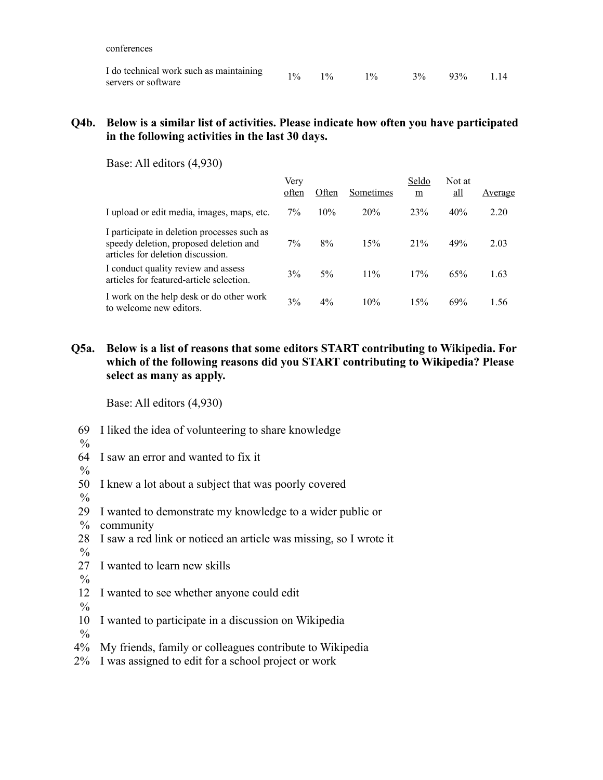conferences

| I do technical work such as maintaining |  | $1\%$ $1\%$ $1\%$ $1\%$ $3\%$ $93\%$ $1.14$ |  |  |
|-----------------------------------------|--|---------------------------------------------|--|--|
| servers or software                     |  |                                             |  |  |

### **Q4b. Below is a similar list of activities. Please indicate how often you have participated in the following activities in the last 30 days.**

Base: All editors (4,930)

|                                                                                                                            | Very<br>often | Often | Sometimes | Seldo<br>m | Not at<br>$all$ | Average |
|----------------------------------------------------------------------------------------------------------------------------|---------------|-------|-----------|------------|-----------------|---------|
| I upload or edit media, images, maps, etc.                                                                                 | 7%            | 10%   | 20%       | 23%        | 40%             | 2.20    |
| I participate in deletion processes such as<br>speedy deletion, proposed deletion and<br>articles for deletion discussion. | 7%            | 8%    | 15%       | 21%        | 49%             | 2.03    |
| I conduct quality review and assess<br>articles for featured-article selection.                                            | 3%            | $5\%$ | $11\%$    | 17%        | 65%             | 1.63    |
| I work on the help desk or do other work<br>to welcome new editors.                                                        | 3%            | $4\%$ | 10%       | 15%        | 69%             | 1.56    |

# **Q5a. Below is a list of reasons that some editors START contributing to Wikipedia. For which of the following reasons did you START contributing to Wikipedia? Please select as many as apply.**

Base: All editors (4,930)

- 69 I liked the idea of volunteering to share knowledge
- $\frac{0}{0}$
- 64 I saw an error and wanted to fix it
- $\%$

50 I knew a lot about a subject that was poorly covered

- $\frac{0}{0}$
- 29 I wanted to demonstrate my knowledge to a wider public or
- $\%$ community
- 28 I saw a red link or noticed an article was missing, so I wrote it
- $\frac{0}{0}$

27 I wanted to learn new skills

- $\frac{0}{0}$
- 12 I wanted to see whether anyone could edit
- $\frac{0}{0}$
- 10 I wanted to participate in a discussion on Wikipedia

 $\frac{0}{0}$ 

- 4% My friends, family or colleagues contribute to Wikipedia
- 2% I was assigned to edit for a school project or work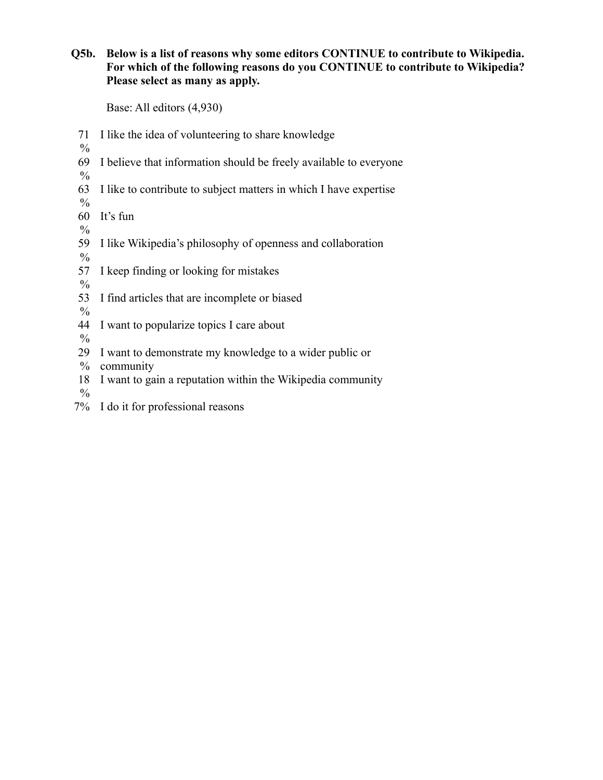# **Q5b. Below is a list of reasons why some editors CONTINUE to contribute to Wikipedia. For which of the following reasons do you CONTINUE to contribute to Wikipedia? Please select as many as apply.**

Base: All editors (4,930)

- 71 I like the idea of volunteering to share knowledge
- $\frac{0}{0}$
- 69 I believe that information should be freely available to everyone
- $\frac{0}{0}$ 63 I like to contribute to subject matters in which I have expertise
- $\frac{0}{0}$
- 60 It's fun
- $\frac{0}{0}$
- 59 I like Wikipedia's philosophy of openness and collaboration
- $\frac{0}{0}$
- 57 I keep finding or looking for mistakes

 $\frac{0}{0}$ 

53 I find articles that are incomplete or biased

 $\frac{0}{0}$ 

- 44 I want to popularize topics I care about
- $\frac{0}{0}$
- 29 I want to demonstrate my knowledge to a wider public or
- $\%$ community
- 18 I want to gain a reputation within the Wikipedia community

 $\frac{0}{0}$ 

7% I do it for professional reasons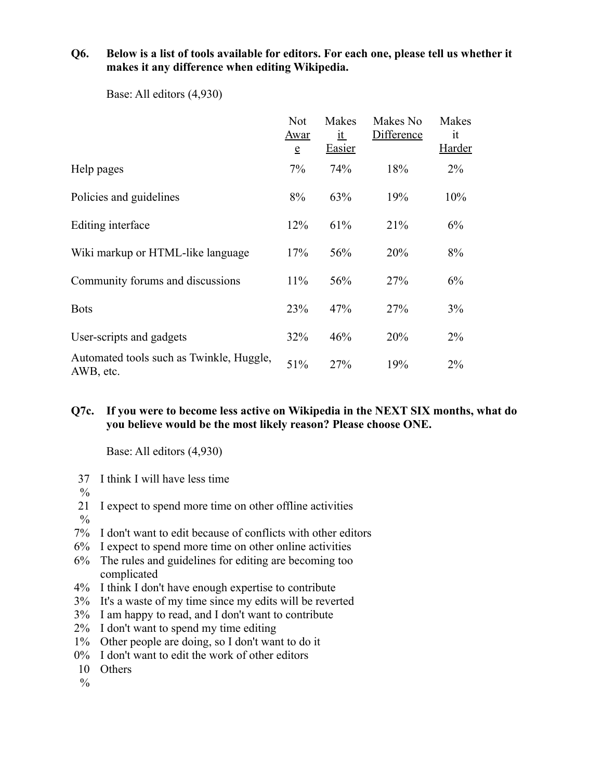## **Q6. Below is a list of tools available for editors. For each one, please tell us whether it makes it any difference when editing Wikipedia.**

|                                                       | <b>Not</b><br><u>Awar</u><br>$\mathbf e$ | Makes<br><u>it</u><br><b>Easier</b> | Makes No<br><b>Difference</b> | Makes<br>it<br><b>Harder</b> |
|-------------------------------------------------------|------------------------------------------|-------------------------------------|-------------------------------|------------------------------|
| Help pages                                            | 7%                                       | 74%                                 | 18%                           | $2\%$                        |
| Policies and guidelines                               | 8%                                       | 63%                                 | 19%                           | 10%                          |
| Editing interface                                     | 12%                                      | 61%                                 | 21%                           | 6%                           |
| Wiki markup or HTML-like language                     | 17%                                      | 56%                                 | 20%                           | 8%                           |
| Community forums and discussions                      | 11%                                      | 56%                                 | 27%                           | 6%                           |
| <b>Bots</b>                                           | 23%                                      | 47%                                 | 27%                           | 3%                           |
| User-scripts and gadgets                              | 32%                                      | 46%                                 | 20%                           | 2%                           |
| Automated tools such as Twinkle, Huggle,<br>AWB, etc. | 51%                                      | 27%                                 | 19%                           | 2%                           |

Base: All editors (4,930)

# **Q7c. If you were to become less active on Wikipedia in the NEXT SIX months, what do you believe would be the most likely reason? Please choose ONE.**

- 37 I think I will have less time
- $\frac{0}{0}$
- 21 I expect to spend more time on other offline activities
- $\frac{0}{0}$
- 7% I don't want to edit because of conflicts with other editors
- 6% I expect to spend more time on other online activities
- 6% The rules and guidelines for editing are becoming too complicated
- 4% I think I don't have enough expertise to contribute
- 3% It's a waste of my time since my edits will be reverted
- 3% I am happy to read, and I don't want to contribute
- 2% I don't want to spend my time editing
- 1% Other people are doing, so I don't want to do it
- 0% I don't want to edit the work of other editors
- 10 Others
- $\frac{0}{0}$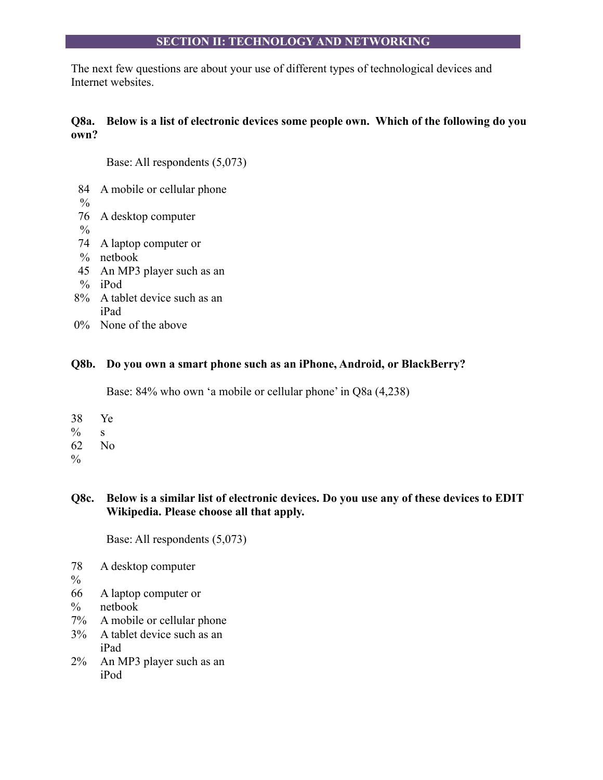# **SECTION II: TECHNOLOGY AND NETWORKING**

The next few questions are about your use of different types of technological devices and Internet websites.

# **Q8a. Below is a list of electronic devices some people own. Which of the following do you own?**

Base: All respondents (5,073)

- 84 A mobile or cellular phone
- $\frac{0}{0}$
- 76 A desktop computer
- $\frac{0}{0}$
- 74 A laptop computer or
- % netbook
- 45 An MP3 player such as an
- % iPod
- 8% A tablet device such as an iPad
- 0% None of the above

# **Q8b. Do you own a smart phone such as an iPhone, Android, or BlackBerry?**

Base: 84% who own 'a mobile or cellular phone' in Q8a (4,238)

- 38 Ye
- $\frac{0}{0}$ s
- 62 No
- $\%$

# **Q8c. Below is a similar list of electronic devices. Do you use any of these devices to EDIT Wikipedia. Please choose all that apply.**

Base: All respondents (5,073)

- 78 A desktop computer
- $\frac{0}{0}$
- 66 A laptop computer or
- $\frac{0}{0}$ netbook
- 7% A mobile or cellular phone
- 3% A tablet device such as an iPad
- 2% An MP3 player such as an iPod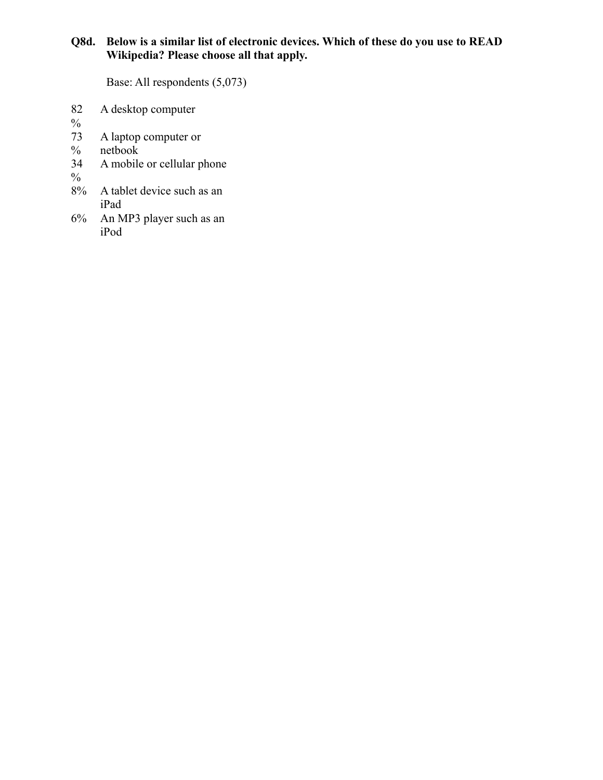# **Q8d. Below is a similar list of electronic devices. Which of these do you use to READ Wikipedia? Please choose all that apply.**

Base: All respondents (5,073)

- 82 A desktop computer
- $\frac{0}{0}$
- 73 A laptop computer or
- $\%$ netbook
- 34 A mobile or cellular phone
- $\frac{9}{6}$ <br>8%
- A tablet device such as an iPad
- 6% An MP3 player such as an iPod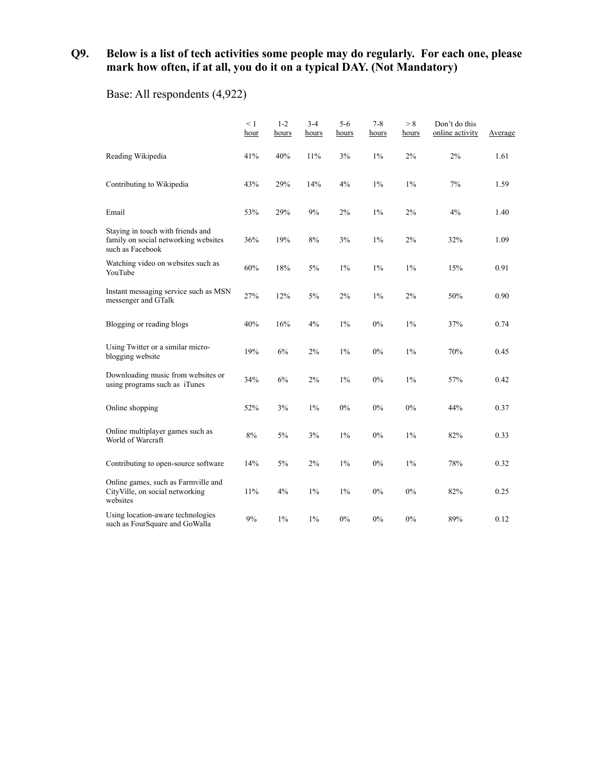# **Q9. Below is a list of tech activities some people may do regularly. For each one, please mark how often, if at all, you do it on a typical DAY. (Not Mandatory)**

Base: All respondents (4,922)

|                                                                                               | < 1<br>hour | $1 - 2$<br>hours | $3 - 4$<br><u>hours</u> | $5 - 6$<br><u>hours</u> | $7 - 8$<br><u>hours</u> | > 8<br>hours | Don't do this<br>online activity | Average |
|-----------------------------------------------------------------------------------------------|-------------|------------------|-------------------------|-------------------------|-------------------------|--------------|----------------------------------|---------|
| Reading Wikipedia                                                                             | 41%         | 40%              | 11%                     | 3%                      | $1\%$                   | 2%           | 2%                               | 1.61    |
| Contributing to Wikipedia                                                                     | 43%         | 29%              | 14%                     | 4%                      | $1\%$                   | $1\%$        | 7%                               | 1.59    |
| Email                                                                                         | 53%         | 29%              | 9%                      | 2%                      | $1\%$                   | 2%           | 4%                               | 1.40    |
| Staying in touch with friends and<br>family on social networking websites<br>such as Facebook | 36%         | 19%              | 8%                      | 3%                      | $1\%$                   | 2%           | 32%                              | 1.09    |
| Watching video on websites such as<br>YouTube                                                 | 60%         | 18%              | 5%                      | $1\%$                   | $1\%$                   | 1%           | 15%                              | 0.91    |
| Instant messaging service such as MSN<br>messenger and GTalk                                  | 27%         | 12%              | 5%                      | 2%                      | $1\%$                   | 2%           | 50%                              | 0.90    |
| Blogging or reading blogs                                                                     | 40%         | 16%              | 4%                      | $1\%$                   | 0%                      | 1%           | 37%                              | 0.74    |
| Using Twitter or a similar micro-<br>blogging website                                         | 19%         | 6%               | 2%                      | $1\%$                   | 0%                      | $1\%$        | 70%                              | 0.45    |
| Downloading music from websites or<br>using programs such as iTunes                           | 34%         | 6%               | 2%                      | $1\%$                   | 0%                      | $1\%$        | 57%                              | 0.42    |
| Online shopping                                                                               | 52%         | 3%               | $1\%$                   | $0\%$                   | $0\%$                   | $0\%$        | 44%                              | 0.37    |
| Online multiplayer games such as<br>World of Warcraft                                         | 8%          | 5%               | 3%                      | $1\%$                   | 0%                      | $1\%$        | 82%                              | 0.33    |
| Contributing to open-source software                                                          | 14%         | 5%               | 2%                      | $1\%$                   | 0%                      | $1\%$        | 78%                              | 0.32    |
| Online games, such as Farmville and<br>CityVille, on social networking<br>websites            | 11%         | 4%               | $1\%$                   | $1\%$                   | $0\%$                   | 0%           | 82%                              | 0.25    |
| Using location-aware technologies<br>such as FourSquare and GoWalla                           | 9%          | $1\%$            | $1\%$                   | $0\%$                   | 0%                      | 0%           | 89%                              | 0.12    |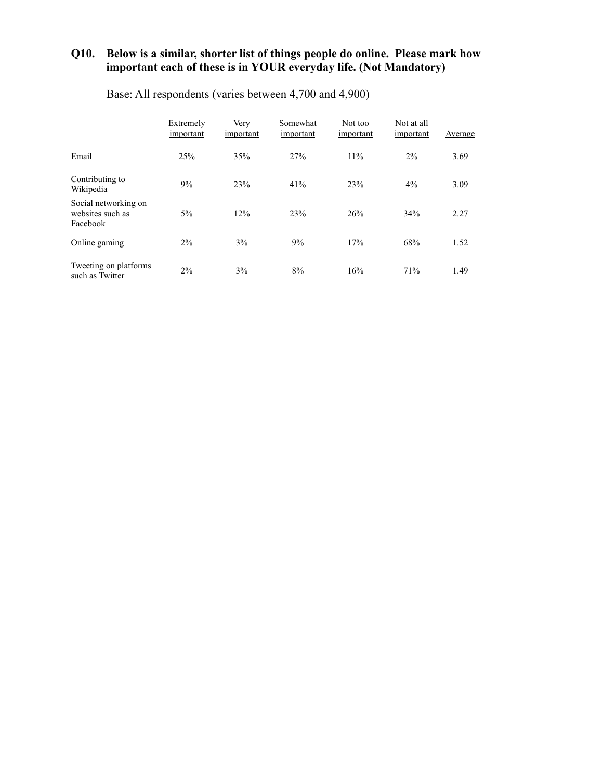#### **Q10. Below is a similar, shorter list of things people do online. Please mark how important each of these is in YOUR everyday life. (Not Mandatory)**

|                                                      | Extremely<br>important | Very<br>important | Somewhat<br>important | Not too<br>important | Not at all<br>important | Average |
|------------------------------------------------------|------------------------|-------------------|-----------------------|----------------------|-------------------------|---------|
| Email                                                | 25%                    | 35%               | 27%                   | 11%                  | $2\%$                   | 3.69    |
| Contributing to<br>Wikipedia                         | 9%                     | 23%               | 41%                   | 23%                  | 4%                      | 3.09    |
| Social networking on<br>websites such as<br>Facebook | $5\%$                  | 12%               | 23%                   | 26%                  | 34%                     | 2.27    |
| Online gaming                                        | $2\%$                  | 3%                | 9%                    | 17%                  | 68%                     | 1.52    |
| Tweeting on platforms<br>such as Twitter             | 2%                     | 3%                | 8%                    | 16%                  | 71%                     | 1.49    |

Base: All respondents (varies between 4,700 and 4,900)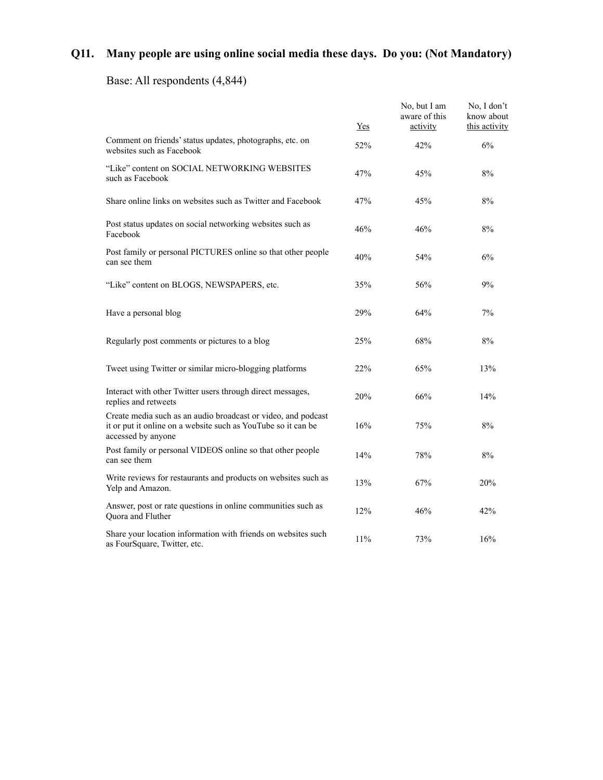# **Q11. Many people are using online social media these days. Do you: (Not Mandatory)**

# Base: All respondents (4,844)

|                                                                                                                                                      | Yes | No, but I am<br>aware of this<br>activity | No, I don't<br>know about<br>this activity |
|------------------------------------------------------------------------------------------------------------------------------------------------------|-----|-------------------------------------------|--------------------------------------------|
| Comment on friends' status updates, photographs, etc. on<br>websites such as Facebook                                                                | 52% | 42%                                       | 6%                                         |
| "Like" content on SOCIAL NETWORKING WEBSITES<br>such as Facebook                                                                                     | 47% | 45%                                       | 8%                                         |
| Share online links on websites such as Twitter and Facebook                                                                                          | 47% | 45%                                       | 8%                                         |
| Post status updates on social networking websites such as<br>Facebook                                                                                | 46% | 46%                                       | 8%                                         |
| Post family or personal PICTURES online so that other people<br>can see them                                                                         | 40% | 54%                                       | 6%                                         |
| "Like" content on BLOGS, NEWSPAPERS, etc.                                                                                                            | 35% | 56%                                       | 9%                                         |
| Have a personal blog                                                                                                                                 | 29% | 64%                                       | 7%                                         |
| Regularly post comments or pictures to a blog                                                                                                        | 25% | 68%                                       | 8%                                         |
| Tweet using Twitter or similar micro-blogging platforms                                                                                              | 22% | 65%                                       | 13%                                        |
| Interact with other Twitter users through direct messages,<br>replies and retweets                                                                   | 20% | 66%                                       | 14%                                        |
| Create media such as an audio broadcast or video, and podcast<br>it or put it online on a website such as YouTube so it can be<br>accessed by anyone | 16% | 75%                                       | 8%                                         |
| Post family or personal VIDEOS online so that other people<br>can see them                                                                           | 14% | 78%                                       | 8%                                         |
| Write reviews for restaurants and products on websites such as<br>Yelp and Amazon.                                                                   | 13% | 67%                                       | 20%                                        |
| Answer, post or rate questions in online communities such as<br>Quora and Fluther                                                                    | 12% | 46%                                       | 42%                                        |
| Share your location information with friends on websites such<br>as FourSquare, Twitter, etc.                                                        | 11% | 73%                                       | 16%                                        |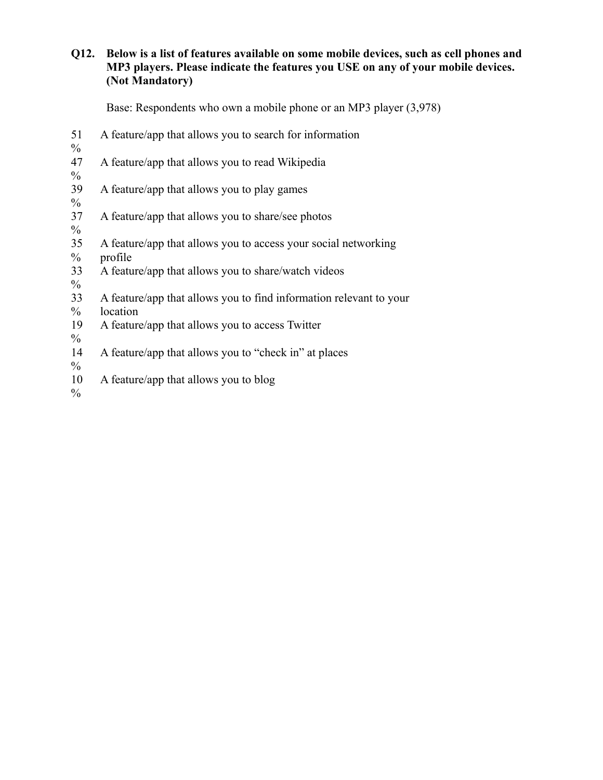# **Q12. Below is a list of features available on some mobile devices, such as cell phones and MP3 players. Please indicate the features you USE on any of your mobile devices. (Not Mandatory)**

|                     | Base: Respondents who own a mobile phone or an MP3 player (3,978)              |
|---------------------|--------------------------------------------------------------------------------|
| 51<br>$\frac{0}{0}$ | A feature/app that allows you to search for information                        |
| 47<br>$\frac{0}{0}$ | A feature/app that allows you to read Wikipedia                                |
| 39<br>$\frac{0}{0}$ | A feature/app that allows you to play games                                    |
| 37<br>$\frac{0}{0}$ | A feature/app that allows you to share/see photos                              |
| 35<br>$\frac{0}{0}$ | A feature/app that allows you to access your social networking<br>profile      |
| 33<br>$\frac{0}{0}$ | A feature/app that allows you to share/watch videos                            |
| 33<br>$\%$          | A feature/app that allows you to find information relevant to your<br>location |
| 19<br>$\frac{0}{0}$ | A feature/app that allows you to access Twitter                                |
| 14<br>$\frac{0}{0}$ | A feature/app that allows you to "check in" at places                          |

- 10 A feature/app that allows you to blog
- $\frac{0}{0}$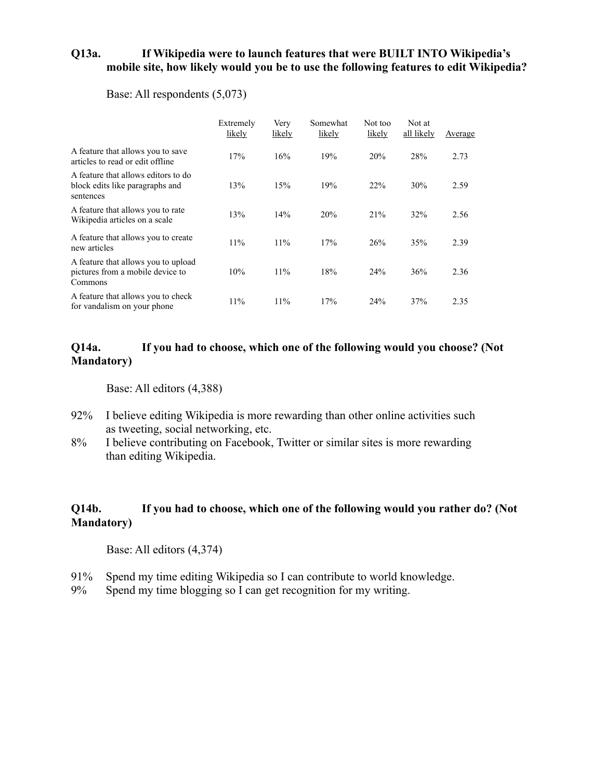### **Q13a. If Wikipedia were to launch features that were BUILT INTO Wikipedia's mobile site, how likely would you be to use the following features to edit Wikipedia?**

#### Base: All respondents (5,073)

|                                                                                     | Extremely<br>likely | Very<br>likely | Somewhat<br>likely | Not too<br>likely | Not at<br>all likely | Average |
|-------------------------------------------------------------------------------------|---------------------|----------------|--------------------|-------------------|----------------------|---------|
| A feature that allows you to save<br>articles to read or edit offline               | 17%                 | 16%            | 19%                | 20%               | 28%                  | 2.73    |
| A feature that allows editors to do<br>block edits like paragraphs and<br>sentences | 13%                 | 15%            | 19%                | 22%               | 30%                  | 2.59    |
| A feature that allows you to rate<br>Wikipedia articles on a scale                  | 13%                 | 14%            | 20%                | 21%               | 32%                  | 2.56    |
| A feature that allows you to create<br>new articles                                 | 11%                 | 11%            | 17%                | 26%               | 35%                  | 2.39    |
| A feature that allows you to upload<br>pictures from a mobile device to<br>Commons  | 10%                 | 11%            | 18%                | 24%               | 36%                  | 2.36    |
| A feature that allows you to check<br>for vandalism on your phone                   | 11%                 | 11%            | 17%                | 24%               | 37%                  | 2.35    |

#### **Q14a. If you had to choose, which one of the following would you choose? (Not Mandatory)**

Base: All editors (4,388)

- 92% I believe editing Wikipedia is more rewarding than other online activities such as tweeting, social networking, etc.
- 8% I believe contributing on Facebook, Twitter or similar sites is more rewarding than editing Wikipedia.

# **Q14b. If you had to choose, which one of the following would you rather do? (Not Mandatory)**

- 91% Spend my time editing Wikipedia so I can contribute to world knowledge.
- 9% Spend my time blogging so I can get recognition for my writing.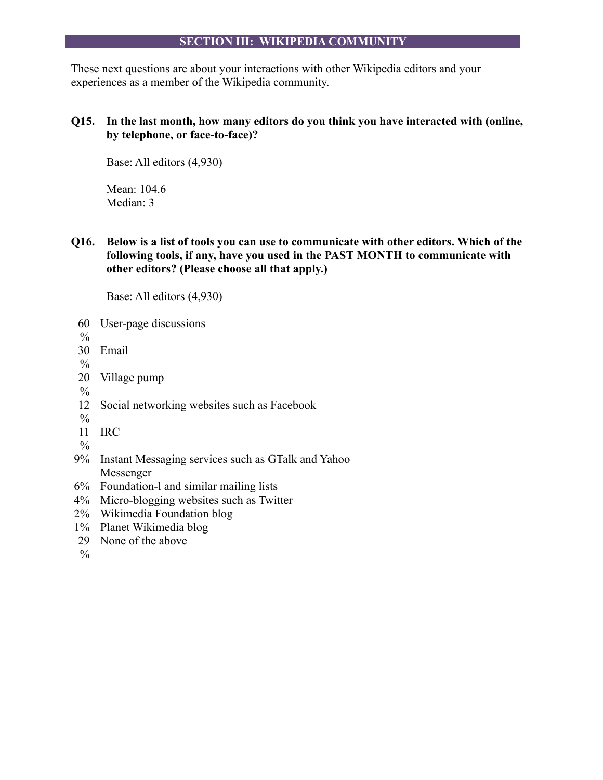#### **SECTION III: WIKIPEDIA COMMUNITY**

These next questions are about your interactions with other Wikipedia editors and your experiences as a member of the Wikipedia community.

# **Q15. In the last month, how many editors do you think you have interacted with (online, by telephone, or face-to-face)?**

Base: All editors (4,930)

Mean: 104.6 Median: 3

**Q16. Below is a list of tools you can use to communicate with other editors. Which of the following tools, if any, have you used in the PAST MONTH to communicate with other editors? (Please choose all that apply.)**

Base: All editors (4,930)

- 60 User-page discussions
- $\frac{0}{0}$
- 30 Email

 $\frac{0}{0}$ 

- 20 Village pump
- $\frac{0}{0}$
- 12 Social networking websites such as Facebook
- $\frac{0}{0}$
- 11 IRC
- $\frac{0}{0}$
- 9% Instant Messaging services such as GTalk and Yahoo Messenger
- 6% Foundation-l and similar mailing lists
- 4% Micro-blogging websites such as Twitter
- 2% Wikimedia Foundation blog
- 1% Planet Wikimedia blog
- 29 None of the above
- $\%$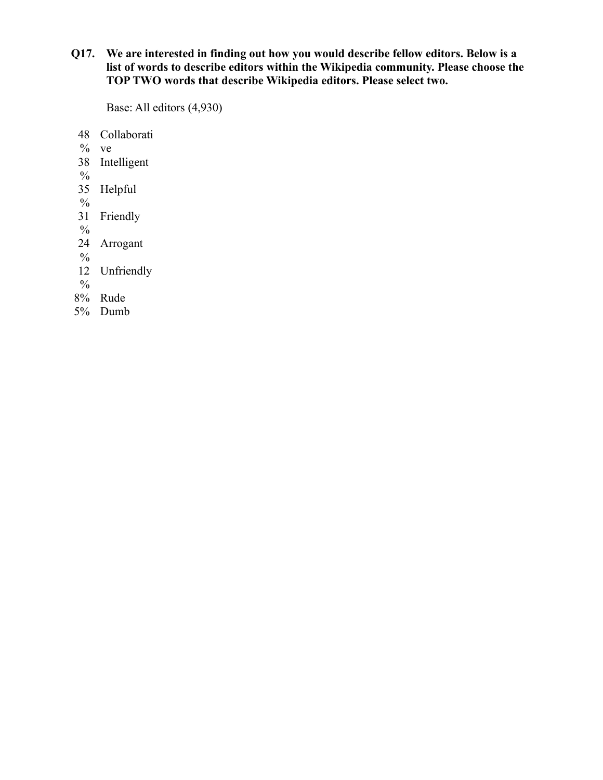# **Q17. We are interested in finding out how you would describe fellow editors. Below is a list of words to describe editors within the Wikipedia community. Please choose the TOP TWO words that describe Wikipedia editors. Please select two.**

- 48 Collaborati
- $%$  ve
- 38 Intelligent
- $\frac{0}{0}$
- 35 Helpful
- $\frac{0}{0}$
- 31 Friendly
- $\frac{0}{0}$
- 24 Arrogant
- $\frac{0}{0}$
- 12 Unfriendly
- $\frac{0}{0}$
- 8% Rude
- 5% Dumb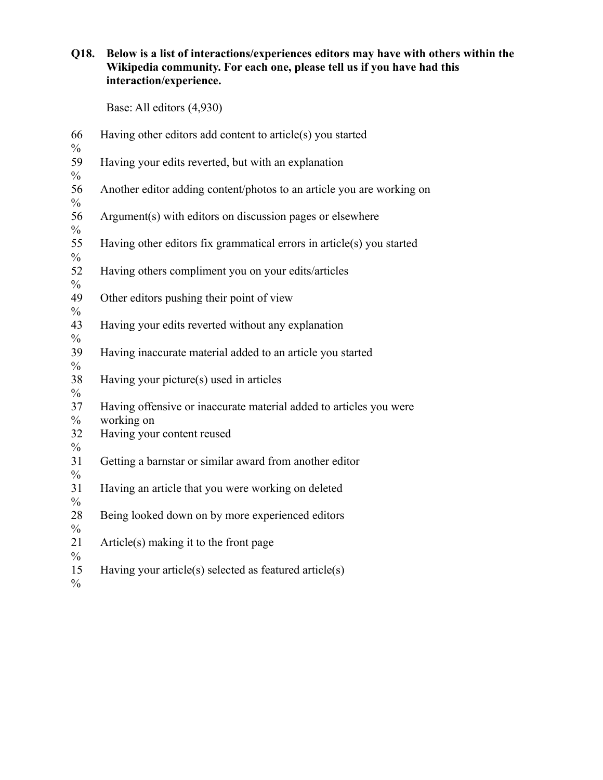# **Q18. Below is a list of interactions/experiences editors may have with others within the Wikipedia community. For each one, please tell us if you have had this interaction/experience.**

| 66<br>$\frac{0}{0}$                  | Having other editors add content to article(s) you started                       |
|--------------------------------------|----------------------------------------------------------------------------------|
| 59<br>$\frac{0}{0}$                  | Having your edits reverted, but with an explanation                              |
| 56<br>$\frac{0}{0}$                  | Another editor adding content/photos to an article you are working on            |
| 56<br>$\frac{0}{0}$                  | Argument(s) with editors on discussion pages or elsewhere                        |
| 55<br>$\frac{0}{0}$                  | Having other editors fix grammatical errors in article(s) you started            |
| 52<br>$\frac{0}{0}$                  | Having others compliment you on your edits/articles                              |
| 49<br>$\frac{0}{0}$                  | Other editors pushing their point of view                                        |
| 43                                   | Having your edits reverted without any explanation                               |
| $\frac{0}{0}$<br>39                  | Having inaccurate material added to an article you started                       |
| $\frac{0}{0}$<br>38                  | Having your picture(s) used in articles                                          |
| $\frac{0}{0}$<br>37<br>$\frac{0}{0}$ | Having offensive or inaccurate material added to articles you were<br>working on |
| 32<br>$\frac{0}{0}$                  | Having your content reused                                                       |
| 31<br>$\frac{0}{0}$                  | Getting a barnstar or similar award from another editor                          |
| 31<br>$\frac{0}{0}$                  | Having an article that you were working on deleted                               |
| 28                                   | Being looked down on by more experienced editors                                 |
| $\frac{0}{0}$<br>21                  | Article(s) making it to the front page                                           |
| $\frac{0}{0}$<br>15<br>$\frac{0}{0}$ | Having your article(s) selected as featured article(s)                           |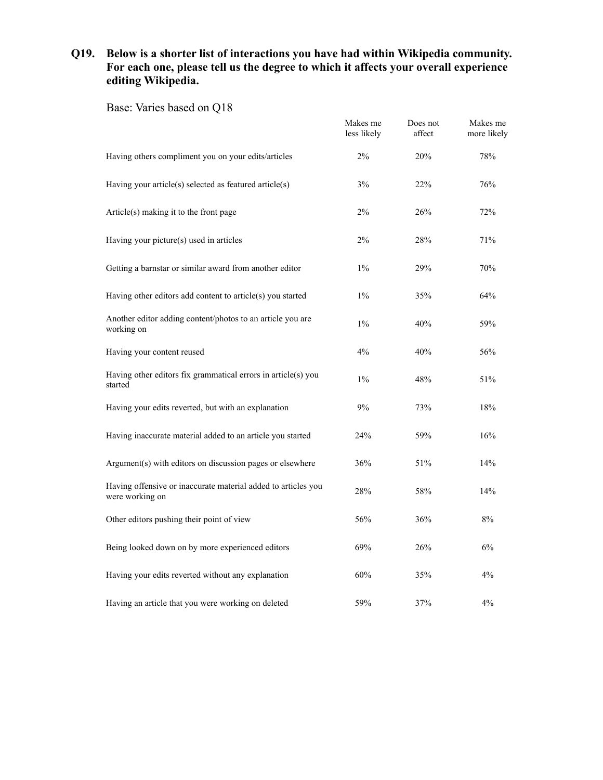# **Q19. Below is a shorter list of interactions you have had within Wikipedia community. For each one, please tell us the degree to which it affects your overall experience editing Wikipedia.**

Base: Varies based on Q18

|                                                                                  | Makes me<br>less likely | Does not<br>affect | Makes me<br>more likely |
|----------------------------------------------------------------------------------|-------------------------|--------------------|-------------------------|
| Having others compliment you on your edits/articles                              | 2%                      | 20%                | 78%                     |
| Having your article(s) selected as featured article(s)                           | 3%                      | 22%                | 76%                     |
| Article(s) making it to the front page                                           | 2%                      | 26%                | 72%                     |
| Having your picture(s) used in articles                                          | 2%                      | 28%                | 71%                     |
| Getting a barnstar or similar award from another editor                          | $1\%$                   | 29%                | 70%                     |
| Having other editors add content to article(s) you started                       | $1\%$                   | 35%                | 64%                     |
| Another editor adding content/photos to an article you are<br>working on         | $1\%$                   | 40%                | 59%                     |
| Having your content reused                                                       | 4%                      | 40%                | 56%                     |
| Having other editors fix grammatical errors in article(s) you<br>started         | $1\%$                   | 48%                | 51%                     |
| Having your edits reverted, but with an explanation                              | 9%                      | 73%                | 18%                     |
| Having inaccurate material added to an article you started                       | 24%                     | 59%                | 16%                     |
| Argument(s) with editors on discussion pages or elsewhere                        | 36%                     | 51%                | 14%                     |
| Having offensive or inaccurate material added to articles you<br>were working on | 28%                     | 58%                | 14%                     |
| Other editors pushing their point of view                                        | 56%                     | 36%                | $8\%$                   |
| Being looked down on by more experienced editors                                 | 69%                     | 26%                | 6%                      |
| Having your edits reverted without any explanation                               | 60%                     | 35%                | 4%                      |
| Having an article that you were working on deleted                               | 59%                     | 37%                | 4%                      |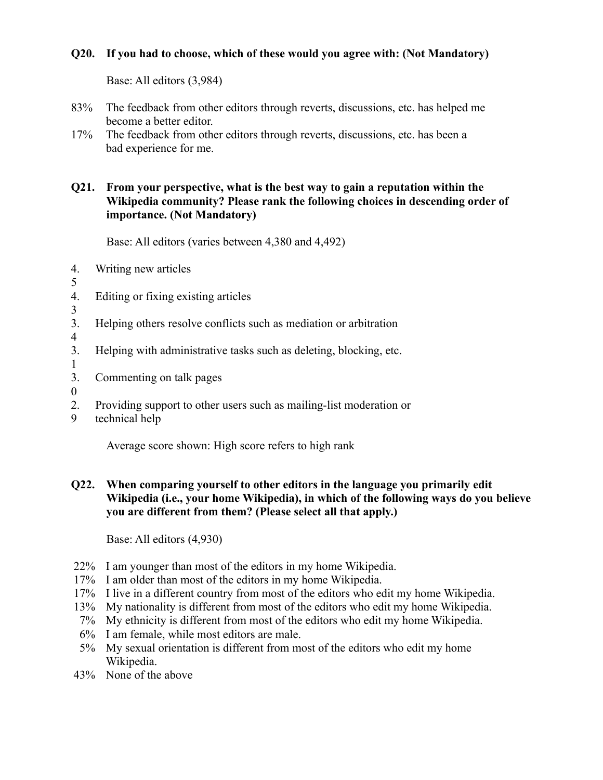# **Q20. If you had to choose, which of these would you agree with: (Not Mandatory)**

Base: All editors (3,984)

- 83% The feedback from other editors through reverts, discussions, etc. has helped me become a better editor.
- 17% The feedback from other editors through reverts, discussions, etc. has been a bad experience for me.

# **Q21. From your perspective, what is the best way to gain a reputation within the Wikipedia community? Please rank the following choices in descending order of importance. (Not Mandatory)**

Base: All editors (varies between 4,380 and 4,492)

- 4. Writing new articles
- 5
- 4. Editing or fixing existing articles
- 3
- 3. Helping others resolve conflicts such as mediation or arbitration
- 4
- 3. Helping with administrative tasks such as deleting, blocking, etc.
- 1
- 3. Commenting on talk pages
- 0
- 2. Providing support to other users such as mailing-list moderation or
- 9 technical help

Average score shown: High score refers to high rank

# **Q22. When comparing yourself to other editors in the language you primarily edit Wikipedia (i.e., your home Wikipedia), in which of the following ways do you believe you are different from them? (Please select all that apply.)**

- 22% I am younger than most of the editors in my home Wikipedia.
- 17% I am older than most of the editors in my home Wikipedia.
- 17% I live in a different country from most of the editors who edit my home Wikipedia.
- 13% My nationality is different from most of the editors who edit my home Wikipedia.
- 7% My ethnicity is different from most of the editors who edit my home Wikipedia.
- 6% I am female, while most editors are male.
- 5% My sexual orientation is different from most of the editors who edit my home Wikipedia.
- 43% None of the above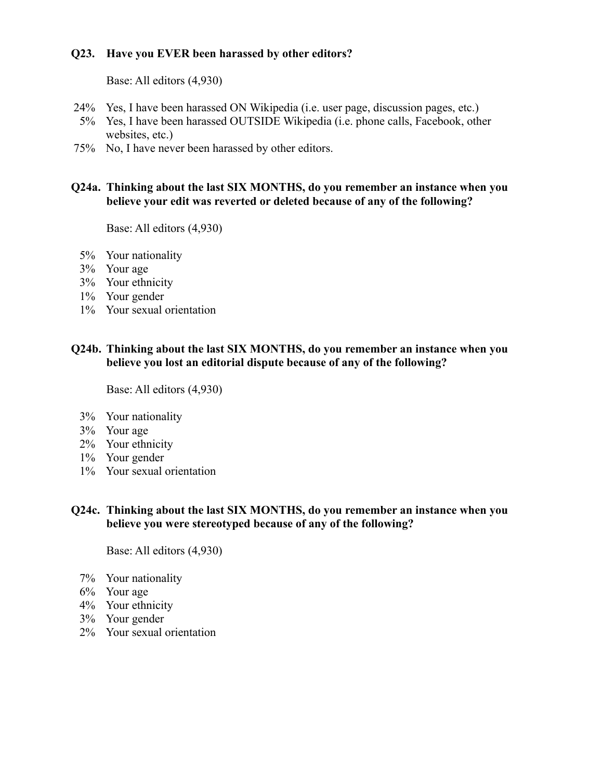# **Q23. Have you EVER been harassed by other editors?**

Base: All editors (4,930)

- 24% Yes, I have been harassed ON Wikipedia (i.e. user page, discussion pages, etc.)
- 5% Yes, I have been harassed OUTSIDE Wikipedia (i.e. phone calls, Facebook, other websites, etc.)
- 75% No, I have never been harassed by other editors.

#### **Q24a. Thinking about the last SIX MONTHS, do you remember an instance when you believe your edit was reverted or deleted because of any of the following?**

Base: All editors (4,930)

- 5% Your nationality
- 3% Your age
- 3% Your ethnicity
- 1% Your gender
- 1% Your sexual orientation

#### **Q24b. Thinking about the last SIX MONTHS, do you remember an instance when you believe you lost an editorial dispute because of any of the following?**

Base: All editors (4,930)

- 3% Your nationality
- 3% Your age
- 2% Your ethnicity
- 1% Your gender
- 1% Your sexual orientation

#### **Q24c. Thinking about the last SIX MONTHS, do you remember an instance when you believe you were stereotyped because of any of the following?**

- 7% Your nationality
- 6% Your age
- 4% Your ethnicity
- 3% Your gender
- 2% Your sexual orientation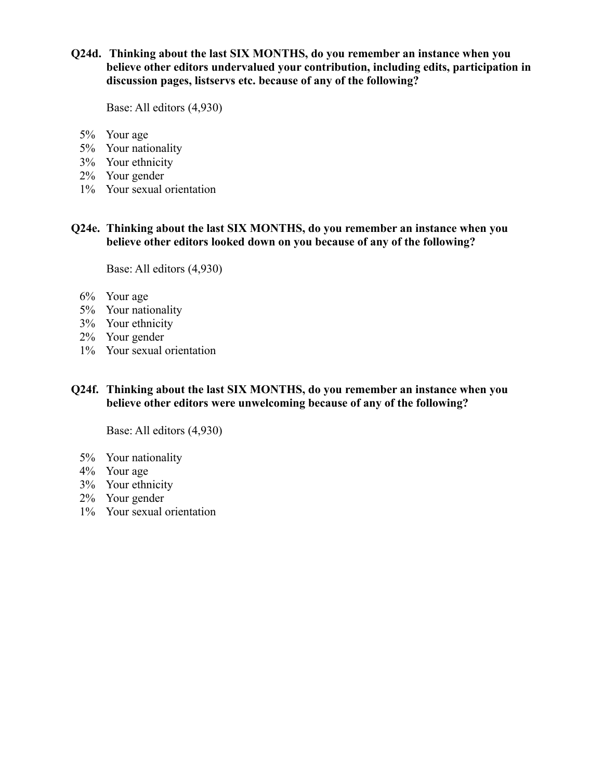# **Q24d. Thinking about the last SIX MONTHS, do you remember an instance when you believe other editors undervalued your contribution, including edits, participation in discussion pages, listservs etc. because of any of the following?**

Base: All editors (4,930)

- 5% Your age
- 5% Your nationality
- 3% Your ethnicity
- 2% Your gender
- 1% Your sexual orientation

**Q24e. Thinking about the last SIX MONTHS, do you remember an instance when you believe other editors looked down on you because of any of the following?**

Base: All editors (4,930)

- 6% Your age
- 5% Your nationality
- 3% Your ethnicity
- 2% Your gender
- 1% Your sexual orientation
- **Q24f. Thinking about the last SIX MONTHS, do you remember an instance when you believe other editors were unwelcoming because of any of the following?**

- 5% Your nationality
- 4% Your age
- 3% Your ethnicity
- 2% Your gender
- 1% Your sexual orientation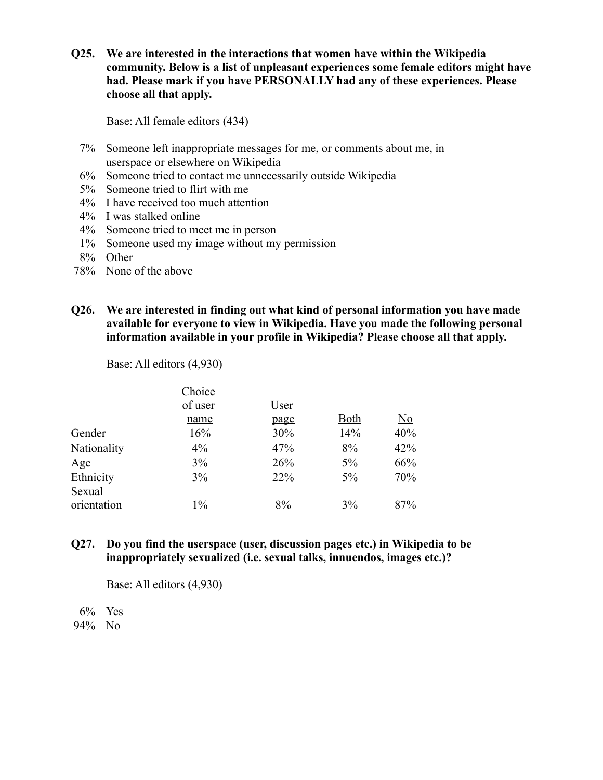**Q25. We are interested in the interactions that women have within the Wikipedia community. Below is a list of unpleasant experiences some female editors might have had. Please mark if you have PERSONALLY had any of these experiences. Please choose all that apply.**

Base: All female editors (434)

- 7% Someone left inappropriate messages for me, or comments about me, in userspace or elsewhere on Wikipedia
- 6% Someone tried to contact me unnecessarily outside Wikipedia
- 5% Someone tried to flirt with me
- 4% I have received too much attention
- 4% I was stalked online
- 4% Someone tried to meet me in person
- 1% Someone used my image without my permission
- 8% Other
- 78% None of the above
- **Q26. We are interested in finding out what kind of personal information you have made available for everyone to view in Wikipedia. Have you made the following personal information available in your profile in Wikipedia? Please choose all that apply.**

Base: All editors (4,930)

|             | Choice  |      |             |           |
|-------------|---------|------|-------------|-----------|
|             | of user | User |             |           |
|             | name    | page | <b>Both</b> | <u>No</u> |
| Gender      | 16%     | 30%  | 14%         | 40%       |
| Nationality | $4\%$   | 47%  | 8%          | 42%       |
| Age         | 3%      | 26%  | $5\%$       | 66%       |
| Ethnicity   | 3%      | 22%  | $5\%$       | 70%       |
| Sexual      |         |      |             |           |
| orientation | $1\%$   | 8%   | $3\%$       | 87%       |

#### **Q27. Do you find the userspace (user, discussion pages etc.) in Wikipedia to be inappropriately sexualized (i.e. sexual talks, innuendos, images etc.)?**

Base: All editors (4,930)

6% Yes 94% No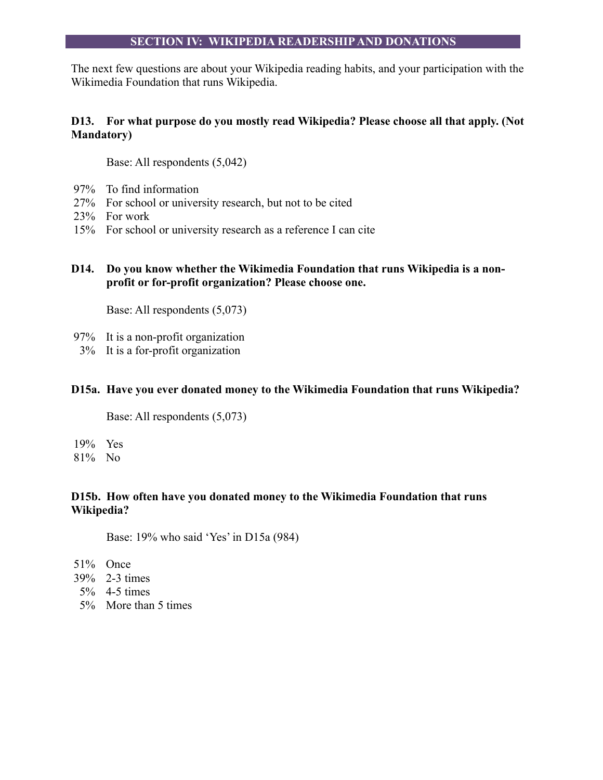#### **SECTION IV: WIKIPEDIA READERSHIP AND DONATIONS**

The next few questions are about your Wikipedia reading habits, and your participation with the Wikimedia Foundation that runs Wikipedia.

# **D13. For what purpose do you mostly read Wikipedia? Please choose all that apply. (Not Mandatory)**

Base: All respondents (5,042)

- 97% To find information
- 27% For school or university research, but not to be cited
- 23% For work
- 15% For school or university research as a reference I can cite
- **D14. Do you know whether the Wikimedia Foundation that runs Wikipedia is a nonprofit or for-profit organization? Please choose one.**

Base: All respondents (5,073)

- 97% It is a non-profit organization
- 3% It is a for-profit organization

#### **D15a. Have you ever donated money to the Wikimedia Foundation that runs Wikipedia?**

Base: All respondents (5,073)

19% Yes 81% No

# **D15b. How often have you donated money to the Wikimedia Foundation that runs Wikipedia?**

Base: 19% who said 'Yes' in D15a (984)

- 51% Once
- 39% 2-3 times
- 5% 4-5 times
- 5% More than 5 times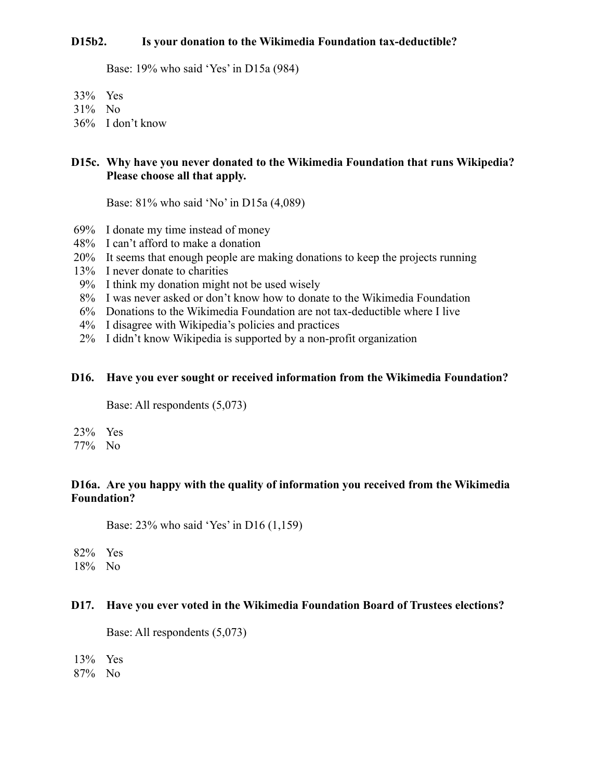#### **D15b2. Is your donation to the Wikimedia Foundation tax-deductible?**

Base: 19% who said 'Yes' in D15a (984)

- 33% Yes
- 31% No
- 36% I don't know

### **D15c. Why have you never donated to the Wikimedia Foundation that runs Wikipedia? Please choose all that apply.**

Base: 81% who said 'No' in D15a (4,089)

- 69% I donate my time instead of money
- 48% I can't afford to make a donation
- 20% It seems that enough people are making donations to keep the projects running
- 13% I never donate to charities
- 9% I think my donation might not be used wisely
- 8% I was never asked or don't know how to donate to the Wikimedia Foundation
- 6% Donations to the Wikimedia Foundation are not tax-deductible where I live
- 4% I disagree with Wikipedia's policies and practices
- 2% I didn't know Wikipedia is supported by a non-profit organization

#### **D16. Have you ever sought or received information from the Wikimedia Foundation?**

Base: All respondents (5,073)

- 23% Yes
- 77% No

# **D16a. Are you happy with the quality of information you received from the Wikimedia Foundation?**

Base: 23% who said 'Yes' in D16 (1,159)

82% Yes 18% No

# **D17. Have you ever voted in the Wikimedia Foundation Board of Trustees elections?**

Base: All respondents (5,073)

13% Yes

87% No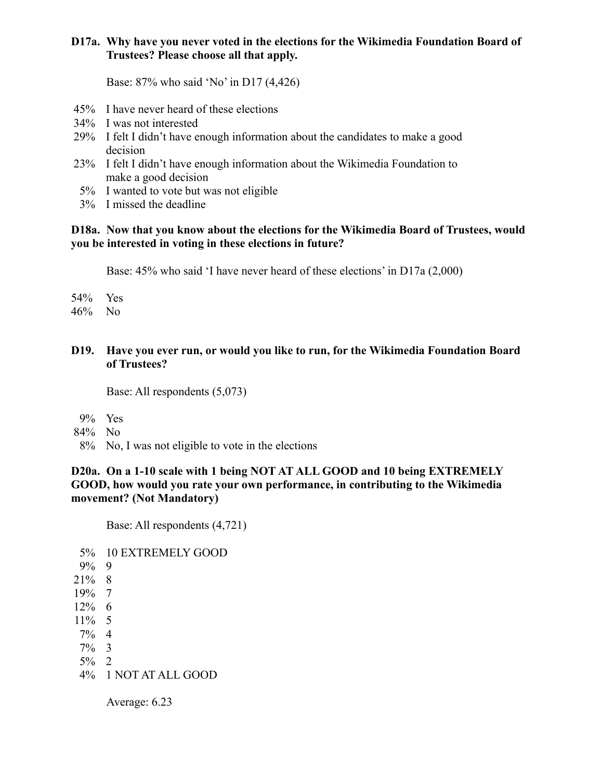# **D17a. Why have you never voted in the elections for the Wikimedia Foundation Board of Trustees? Please choose all that apply.**

Base: 87% who said 'No' in D17 (4,426)

- 45% I have never heard of these elections
- 34% I was not interested
- 29% I felt I didn't have enough information about the candidates to make a good decision
- 23% I felt I didn't have enough information about the Wikimedia Foundation to make a good decision
- 5% I wanted to vote but was not eligible
- 3% I missed the deadline

#### **D18a. Now that you know about the elections for the Wikimedia Board of Trustees, would you be interested in voting in these elections in future?**

Base: 45% who said 'I have never heard of these elections' in D17a (2,000)

- 54% Yes
- 46% No
- **D19. Have you ever run, or would you like to run, for the Wikimedia Foundation Board of Trustees?**

Base: All respondents (5,073)

- 9% Yes
- 84% No
- 8% No, I was not eligible to vote in the elections

## **D20a. On a 1-10 scale with 1 being NOT AT ALL GOOD and 10 being EXTREMELY GOOD, how would you rate your own performance, in contributing to the Wikimedia movement? (Not Mandatory)**

Base: All respondents (4,721)

5% 10 EXTREMELY GOOD 9% 9 21% 8 19% 7 12% 6  $11\%$  5 7% 4 7% 3 5% 2 4% 1 NOT AT ALL GOOD

Average: 6.23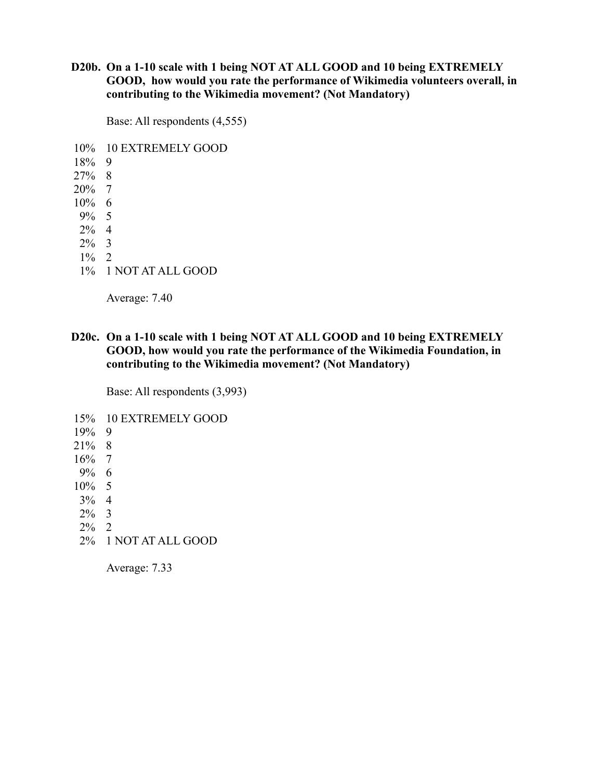## **D20b. On a 1-10 scale with 1 being NOT AT ALL GOOD and 10 being EXTREMELY GOOD, how would you rate the performance of Wikimedia volunteers overall, in contributing to the Wikimedia movement? (Not Mandatory)**

Base: All respondents (4,555)

10% 10 EXTREMELY GOOD 18% 9

27% 8 20% 7 10% 6 9% 5 2% 4 2% 3

 $1\%$  2

1% 1 NOT AT ALL GOOD

Average: 7.40

**D20c. On a 1-10 scale with 1 being NOT AT ALL GOOD and 10 being EXTREMELY GOOD, how would you rate the performance of the Wikimedia Foundation, in contributing to the Wikimedia movement? (Not Mandatory)**

Base: All respondents (3,993)

15% 10 EXTREMELY GOOD

- 19% 9
- 21% 8
- 16% 7
- 9% 6
- 10% 5
- 3% 4
- 2% 3
- 2% 2
- 2% 1 NOT AT ALL GOOD

Average: 7.33